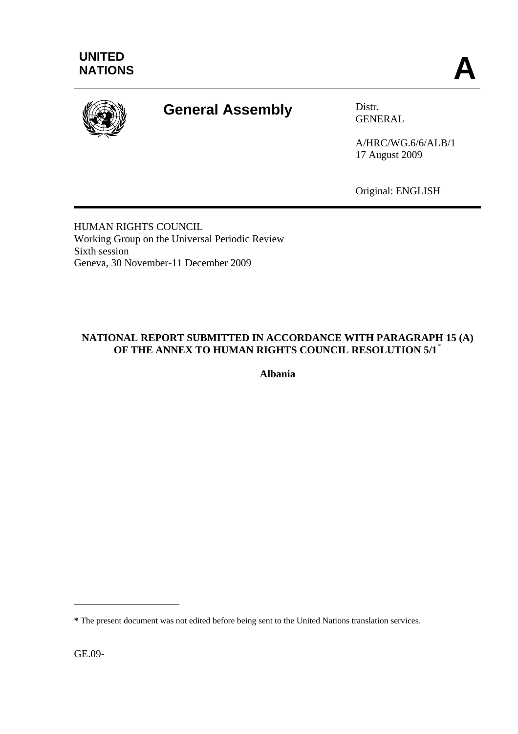

# **General Assembly** Distr.

GENERAL

A/HRC/WG.6/6/ALB/1 17 August 2009

Original: ENGLISH

HUMAN RIGHTS COUNCIL Working Group on the Universal Periodic Review Sixth session Geneva, 30 November-11 December 2009

# **NATIONAL REPORT SUBMITTED IN ACCORDANCE WITH PARAGRAPH 15 (A) OF THE ANNEX TO HUMAN RIGHTS COUNCIL RESOLUTION 5/1**[\\*](#page-21-0)

**Albania** 

GE.09-

\_\_\_\_\_\_\_\_\_\_\_\_\_\_\_\_\_\_\_\_\_\_

**<sup>\*</sup>** The present document was not edited before being sent to the United Nations translation services.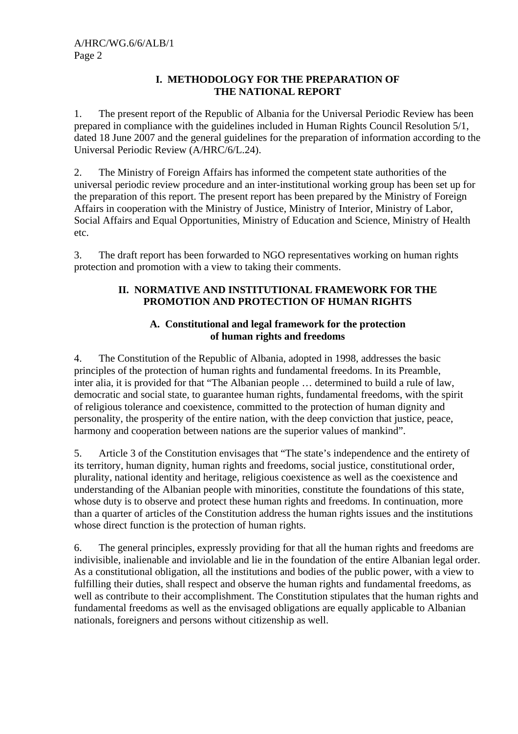#### **I. METHODOLOGY FOR THE PREPARATION OF THE NATIONAL REPORT**

1. The present report of the Republic of Albania for the Universal Periodic Review has been prepared in compliance with the guidelines included in Human Rights Council Resolution 5/1, dated 18 June 2007 and the general guidelines for the preparation of information according to the Universal Periodic Review (A/HRC/6/L.24).

2. The Ministry of Foreign Affairs has informed the competent state authorities of the universal periodic review procedure and an inter-institutional working group has been set up for the preparation of this report. The present report has been prepared by the Ministry of Foreign Affairs in cooperation with the Ministry of Justice, Ministry of Interior, Ministry of Labor, Social Affairs and Equal Opportunities, Ministry of Education and Science, Ministry of Health etc.

3. The draft report has been forwarded to NGO representatives working on human rights protection and promotion with a view to taking their comments.

# **II. NORMATIVE AND INSTITUTIONAL FRAMEWORK FOR THE PROMOTION AND PROTECTION OF HUMAN RIGHTS**

# **A. Constitutional and legal framework for the protection of human rights and freedoms**

4. The Constitution of the Republic of Albania, adopted in 1998, addresses the basic principles of the protection of human rights and fundamental freedoms. In its Preamble, inter alia, it is provided for that "The Albanian people … determined to build a rule of law, democratic and social state, to guarantee human rights, fundamental freedoms, with the spirit of religious tolerance and coexistence, committed to the protection of human dignity and personality, the prosperity of the entire nation, with the deep conviction that justice, peace, harmony and cooperation between nations are the superior values of mankind".

5. Article 3 of the Constitution envisages that "The state's independence and the entirety of its territory, human dignity, human rights and freedoms, social justice, constitutional order, plurality, national identity and heritage, religious coexistence as well as the coexistence and understanding of the Albanian people with minorities, constitute the foundations of this state, whose duty is to observe and protect these human rights and freedoms. In continuation, more than a quarter of articles of the Constitution address the human rights issues and the institutions whose direct function is the protection of human rights.

6. The general principles, expressly providing for that all the human rights and freedoms are indivisible, inalienable and inviolable and lie in the foundation of the entire Albanian legal order. As a constitutional obligation, all the institutions and bodies of the public power, with a view to fulfilling their duties, shall respect and observe the human rights and fundamental freedoms, as well as contribute to their accomplishment. The Constitution stipulates that the human rights and fundamental freedoms as well as the envisaged obligations are equally applicable to Albanian nationals, foreigners and persons without citizenship as well.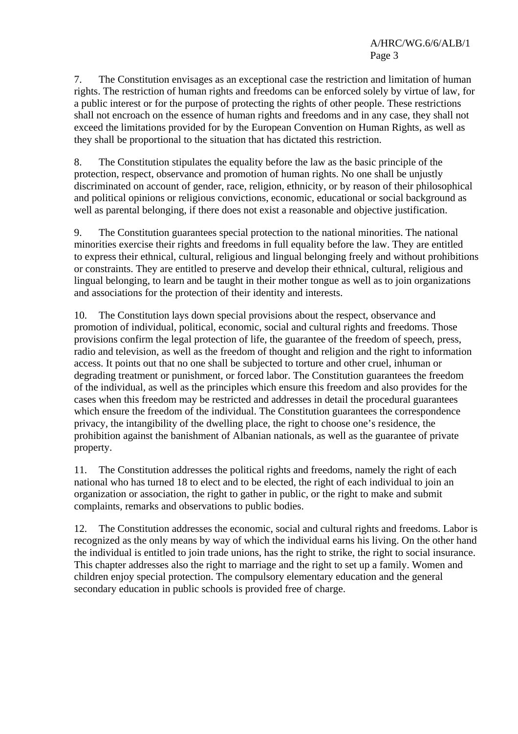7. The Constitution envisages as an exceptional case the restriction and limitation of human rights. The restriction of human rights and freedoms can be enforced solely by virtue of law, for a public interest or for the purpose of protecting the rights of other people. These restrictions shall not encroach on the essence of human rights and freedoms and in any case, they shall not exceed the limitations provided for by the European Convention on Human Rights, as well as they shall be proportional to the situation that has dictated this restriction.

8. The Constitution stipulates the equality before the law as the basic principle of the protection, respect, observance and promotion of human rights. No one shall be unjustly discriminated on account of gender, race, religion, ethnicity, or by reason of their philosophical and political opinions or religious convictions, economic, educational or social background as well as parental belonging, if there does not exist a reasonable and objective justification.

9. The Constitution guarantees special protection to the national minorities. The national minorities exercise their rights and freedoms in full equality before the law. They are entitled to express their ethnical, cultural, religious and lingual belonging freely and without prohibitions or constraints. They are entitled to preserve and develop their ethnical, cultural, religious and lingual belonging, to learn and be taught in their mother tongue as well as to join organizations and associations for the protection of their identity and interests.

10. The Constitution lays down special provisions about the respect, observance and promotion of individual, political, economic, social and cultural rights and freedoms. Those provisions confirm the legal protection of life, the guarantee of the freedom of speech, press, radio and television, as well as the freedom of thought and religion and the right to information access. It points out that no one shall be subjected to torture and other cruel, inhuman or degrading treatment or punishment, or forced labor. The Constitution guarantees the freedom of the individual, as well as the principles which ensure this freedom and also provides for the cases when this freedom may be restricted and addresses in detail the procedural guarantees which ensure the freedom of the individual. The Constitution guarantees the correspondence privacy, the intangibility of the dwelling place, the right to choose one's residence, the prohibition against the banishment of Albanian nationals, as well as the guarantee of private property.

11. The Constitution addresses the political rights and freedoms, namely the right of each national who has turned 18 to elect and to be elected, the right of each individual to join an organization or association, the right to gather in public, or the right to make and submit complaints, remarks and observations to public bodies.

12. The Constitution addresses the economic, social and cultural rights and freedoms. Labor is recognized as the only means by way of which the individual earns his living. On the other hand the individual is entitled to join trade unions, has the right to strike, the right to social insurance. This chapter addresses also the right to marriage and the right to set up a family. Women and children enjoy special protection. The compulsory elementary education and the general secondary education in public schools is provided free of charge.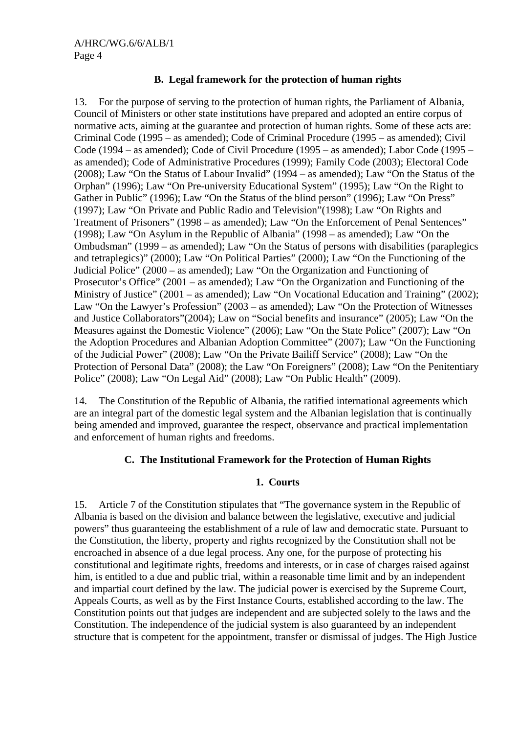## **B. Legal framework for the protection of human rights**

13. For the purpose of serving to the protection of human rights, the Parliament of Albania, Council of Ministers or other state institutions have prepared and adopted an entire corpus of normative acts, aiming at the guarantee and protection of human rights. Some of these acts are: Criminal Code (1995 – as amended); Code of Criminal Procedure (1995 – as amended); Civil Code (1994 – as amended); Code of Civil Procedure (1995 – as amended); Labor Code (1995 – as amended); Code of Administrative Procedures (1999); Family Code (2003); Electoral Code (2008); Law "On the Status of Labour Invalid" (1994 – as amended); Law "On the Status of the Orphan" (1996); Law "On Pre-university Educational System" (1995); Law "On the Right to Gather in Public" (1996); Law "On the Status of the blind person" (1996); Law "On Press" (1997); Law "On Private and Public Radio and Television"(1998); Law "On Rights and Treatment of Prisoners" (1998 – as amended); Law "On the Enforcement of Penal Sentences" (1998); Law "On Asylum in the Republic of Albania" (1998 – as amended); Law "On the Ombudsman" (1999 – as amended); Law "On the Status of persons with disabilities (paraplegics and tetraplegics)" (2000); Law "On Political Parties" (2000); Law "On the Functioning of the Judicial Police" (2000 – as amended); Law "On the Organization and Functioning of Prosecutor's Office" (2001 – as amended); Law "On the Organization and Functioning of the Ministry of Justice" (2001 – as amended); Law "On Vocational Education and Training" (2002); Law "On the Lawyer's Profession" (2003 – as amended); Law "On the Protection of Witnesses and Justice Collaborators"(2004); Law on "Social benefits and insurance" (2005); Law "On the Measures against the Domestic Violence" (2006); Law "On the State Police" (2007); Law "On the Adoption Procedures and Albanian Adoption Committee" (2007); Law "On the Functioning of the Judicial Power" (2008); Law "On the Private Bailiff Service" (2008); Law "On the Protection of Personal Data" (2008); the Law "On Foreigners" (2008); Law "On the Penitentiary Police" (2008); Law "On Legal Aid" (2008); Law "On Public Health" (2009).

14. The Constitution of the Republic of Albania, the ratified international agreements which are an integral part of the domestic legal system and the Albanian legislation that is continually being amended and improved, guarantee the respect, observance and practical implementation and enforcement of human rights and freedoms.

## **C. The Institutional Framework for the Protection of Human Rights**

#### **1. Courts**

15. Article 7 of the Constitution stipulates that "The governance system in the Republic of Albania is based on the division and balance between the legislative, executive and judicial powers" thus guaranteeing the establishment of a rule of law and democratic state. Pursuant to the Constitution, the liberty, property and rights recognized by the Constitution shall not be encroached in absence of a due legal process. Any one, for the purpose of protecting his constitutional and legitimate rights, freedoms and interests, or in case of charges raised against him, is entitled to a due and public trial, within a reasonable time limit and by an independent and impartial court defined by the law. The judicial power is exercised by the Supreme Court, Appeals Courts, as well as by the First Instance Courts, established according to the law. The Constitution points out that judges are independent and are subjected solely to the laws and the Constitution. The independence of the judicial system is also guaranteed by an independent structure that is competent for the appointment, transfer or dismissal of judges. The High Justice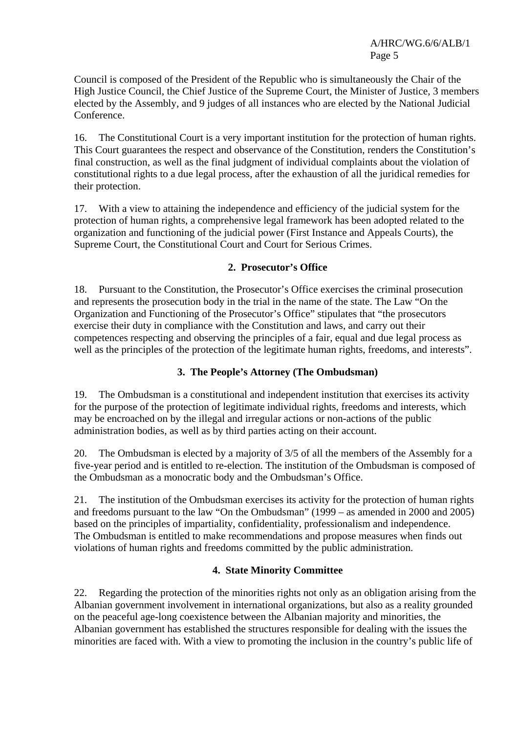Council is composed of the President of the Republic who is simultaneously the Chair of the High Justice Council, the Chief Justice of the Supreme Court, the Minister of Justice, 3 members elected by the Assembly, and 9 judges of all instances who are elected by the National Judicial Conference.

16. The Constitutional Court is a very important institution for the protection of human rights. This Court guarantees the respect and observance of the Constitution, renders the Constitution's final construction, as well as the final judgment of individual complaints about the violation of constitutional rights to a due legal process, after the exhaustion of all the juridical remedies for their protection.

17. With a view to attaining the independence and efficiency of the judicial system for the protection of human rights, a comprehensive legal framework has been adopted related to the organization and functioning of the judicial power (First Instance and Appeals Courts), the Supreme Court, the Constitutional Court and Court for Serious Crimes.

#### **2. Prosecutor's Office**

18. Pursuant to the Constitution, the Prosecutor's Office exercises the criminal prosecution and represents the prosecution body in the trial in the name of the state. The Law "On the Organization and Functioning of the Prosecutor's Office" stipulates that "the prosecutors exercise their duty in compliance with the Constitution and laws, and carry out their competences respecting and observing the principles of a fair, equal and due legal process as well as the principles of the protection of the legitimate human rights, freedoms, and interests".

## **3. The People's Attorney (The Ombudsman)**

19. The Ombudsman is a constitutional and independent institution that exercises its activity for the purpose of the protection of legitimate individual rights, freedoms and interests, which may be encroached on by the illegal and irregular actions or non-actions of the public administration bodies, as well as by third parties acting on their account.

20. The Ombudsman is elected by a majority of 3/5 of all the members of the Assembly for a five-year period and is entitled to re-election. The institution of the Ombudsman is composed of the Ombudsman as a monocratic body and the Ombudsman's Office.

21. The institution of the Ombudsman exercises its activity for the protection of human rights and freedoms pursuant to the law "On the Ombudsman" (1999 – as amended in 2000 and 2005) based on the principles of impartiality, confidentiality, professionalism and independence. The Ombudsman is entitled to make recommendations and propose measures when finds out violations of human rights and freedoms committed by the public administration.

# **4. State Minority Committee**

22. Regarding the protection of the minorities rights not only as an obligation arising from the Albanian government involvement in international organizations, but also as a reality grounded on the peaceful age-long coexistence between the Albanian majority and minorities, the Albanian government has established the structures responsible for dealing with the issues the minorities are faced with. With a view to promoting the inclusion in the country's public life of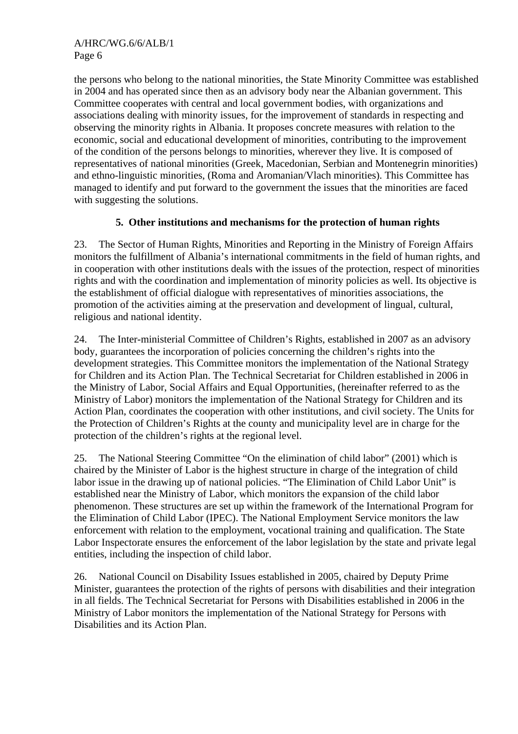the persons who belong to the national minorities, the State Minority Committee was established in 2004 and has operated since then as an advisory body near the Albanian government. This Committee cooperates with central and local government bodies, with organizations and associations dealing with minority issues, for the improvement of standards in respecting and observing the minority rights in Albania. It proposes concrete measures with relation to the economic, social and educational development of minorities, contributing to the improvement of the condition of the persons belongs to minorities, wherever they live. It is composed of representatives of national minorities (Greek, Macedonian, Serbian and Montenegrin minorities) and ethno-linguistic minorities, (Roma and Aromanian/Vlach minorities). This Committee has managed to identify and put forward to the government the issues that the minorities are faced with suggesting the solutions.

# **5. Other institutions and mechanisms for the protection of human rights**

23. The Sector of Human Rights, Minorities and Reporting in the Ministry of Foreign Affairs monitors the fulfillment of Albania's international commitments in the field of human rights, and in cooperation with other institutions deals with the issues of the protection, respect of minorities rights and with the coordination and implementation of minority policies as well. Its objective is the establishment of official dialogue with representatives of minorities associations, the promotion of the activities aiming at the preservation and development of lingual, cultural, religious and national identity.

24. The Inter-ministerial Committee of Children's Rights, established in 2007 as an advisory body, guarantees the incorporation of policies concerning the children's rights into the development strategies. This Committee monitors the implementation of the National Strategy for Children and its Action Plan. The Technical Secretariat for Children established in 2006 in the Ministry of Labor, Social Affairs and Equal Opportunities, (hereinafter referred to as the Ministry of Labor) monitors the implementation of the National Strategy for Children and its Action Plan, coordinates the cooperation with other institutions, and civil society. The Units for the Protection of Children's Rights at the county and municipality level are in charge for the protection of the children's rights at the regional level.

25. The National Steering Committee "On the elimination of child labor" (2001) which is chaired by the Minister of Labor is the highest structure in charge of the integration of child labor issue in the drawing up of national policies. "The Elimination of Child Labor Unit" is established near the Ministry of Labor, which monitors the expansion of the child labor phenomenon. These structures are set up within the framework of the International Program for the Elimination of Child Labor (IPEC). The National Employment Service monitors the law enforcement with relation to the employment, vocational training and qualification. The State Labor Inspectorate ensures the enforcement of the labor legislation by the state and private legal entities, including the inspection of child labor.

26. National Council on Disability Issues established in 2005, chaired by Deputy Prime Minister, guarantees the protection of the rights of persons with disabilities and their integration in all fields. The Technical Secretariat for Persons with Disabilities established in 2006 in the Ministry of Labor monitors the implementation of the National Strategy for Persons with Disabilities and its Action Plan.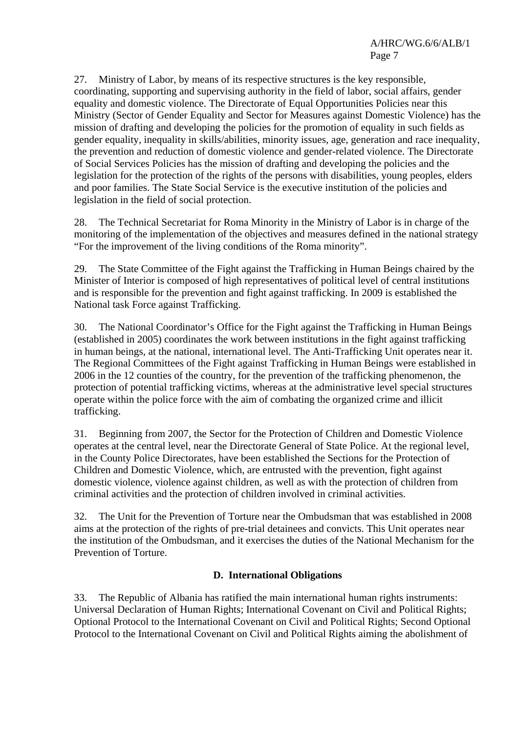27. Ministry of Labor, by means of its respective structures is the key responsible, coordinating, supporting and supervising authority in the field of labor, social affairs, gender equality and domestic violence. The Directorate of Equal Opportunities Policies near this Ministry (Sector of Gender Equality and Sector for Measures against Domestic Violence) has the mission of drafting and developing the policies for the promotion of equality in such fields as gender equality, inequality in skills/abilities, minority issues, age, generation and race inequality, the prevention and reduction of domestic violence and gender-related violence. The Directorate of Social Services Policies has the mission of drafting and developing the policies and the legislation for the protection of the rights of the persons with disabilities, young peoples, elders and poor families. The State Social Service is the executive institution of the policies and legislation in the field of social protection.

28. The Technical Secretariat for Roma Minority in the Ministry of Labor is in charge of the monitoring of the implementation of the objectives and measures defined in the national strategy "For the improvement of the living conditions of the Roma minority".

29. The State Committee of the Fight against the Trafficking in Human Beings chaired by the Minister of Interior is composed of high representatives of political level of central institutions and is responsible for the prevention and fight against trafficking. In 2009 is established the National task Force against Trafficking.

30. The National Coordinator's Office for the Fight against the Trafficking in Human Beings (established in 2005) coordinates the work between institutions in the fight against trafficking in human beings, at the national, international level. The Anti-Trafficking Unit operates near it. The Regional Committees of the Fight against Trafficking in Human Beings were established in 2006 in the 12 counties of the country, for the prevention of the trafficking phenomenon, the protection of potential trafficking victims, whereas at the administrative level special structures operate within the police force with the aim of combating the organized crime and illicit trafficking.

31. Beginning from 2007, the Sector for the Protection of Children and Domestic Violence operates at the central level, near the Directorate General of State Police. At the regional level, in the County Police Directorates, have been established the Sections for the Protection of Children and Domestic Violence, which, are entrusted with the prevention, fight against domestic violence, violence against children, as well as with the protection of children from criminal activities and the protection of children involved in criminal activities.

32. The Unit for the Prevention of Torture near the Ombudsman that was established in 2008 aims at the protection of the rights of pre-trial detainees and convicts. This Unit operates near the institution of the Ombudsman, and it exercises the duties of the National Mechanism for the Prevention of Torture.

# **D. International Obligations**

33. The Republic of Albania has ratified the main international human rights instruments: Universal Declaration of Human Rights; International Covenant on Civil and Political Rights; Optional Protocol to the International Covenant on Civil and Political Rights; Second Optional Protocol to the International Covenant on Civil and Political Rights aiming the abolishment of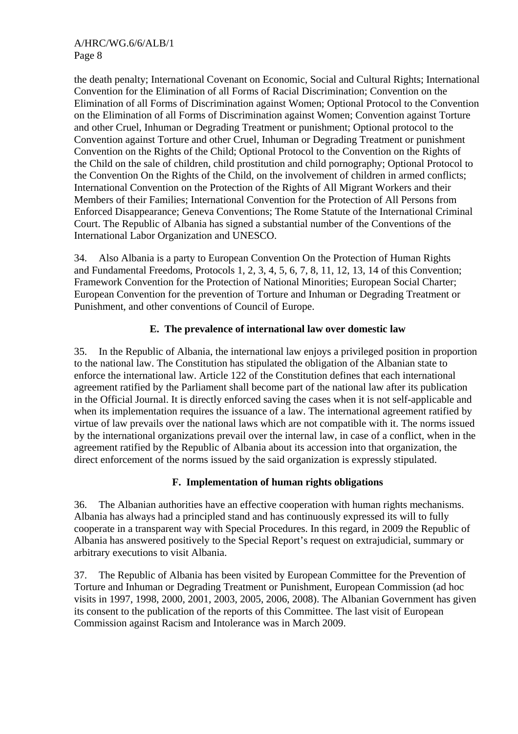the death penalty; International Covenant on Economic, Social and Cultural Rights; International Convention for the Elimination of all Forms of Racial Discrimination; Convention on the Elimination of all Forms of Discrimination against Women; Optional Protocol to the Convention on the Elimination of all Forms of Discrimination against Women; Convention against Torture and other Cruel, Inhuman or Degrading Treatment or punishment; Optional protocol to the Convention against Torture and other Cruel, Inhuman or Degrading Treatment or punishment Convention on the Rights of the Child; Optional Protocol to the Convention on the Rights of the Child on the sale of children, child prostitution and child pornography; Optional Protocol to the Convention On the Rights of the Child, on the involvement of children in armed conflicts; International Convention on the Protection of the Rights of All Migrant Workers and their Members of their Families; International Convention for the Protection of All Persons from Enforced Disappearance; Geneva Conventions; The Rome Statute of the International Criminal Court. The Republic of Albania has signed a substantial number of the Conventions of the International Labor Organization and UNESCO.

34. Also Albania is a party to European Convention On the Protection of Human Rights and Fundamental Freedoms, Protocols 1, 2, 3, 4, 5, 6, 7, 8, 11, 12, 13, 14 of this Convention; Framework Convention for the Protection of National Minorities; European Social Charter; European Convention for the prevention of Torture and Inhuman or Degrading Treatment or Punishment, and other conventions of Council of Europe.

# **E. The prevalence of international law over domestic law**

35. In the Republic of Albania, the international law enjoys a privileged position in proportion to the national law. The Constitution has stipulated the obligation of the Albanian state to enforce the international law. Article 122 of the Constitution defines that each international agreement ratified by the Parliament shall become part of the national law after its publication in the Official Journal. It is directly enforced saving the cases when it is not self-applicable and when its implementation requires the issuance of a law. The international agreement ratified by virtue of law prevails over the national laws which are not compatible with it. The norms issued by the international organizations prevail over the internal law, in case of a conflict, when in the agreement ratified by the Republic of Albania about its accession into that organization, the direct enforcement of the norms issued by the said organization is expressly stipulated.

## **F. Implementation of human rights obligations**

36. The Albanian authorities have an effective cooperation with human rights mechanisms. Albania has always had a principled stand and has continuously expressed its will to fully cooperate in a transparent way with Special Procedures. In this regard, in 2009 the Republic of Albania has answered positively to the Special Report's request on extrajudicial, summary or arbitrary executions to visit Albania.

37. The Republic of Albania has been visited by European Committee for the Prevention of Torture and Inhuman or Degrading Treatment or Punishment, European Commission (ad hoc visits in 1997, 1998, 2000, 2001, 2003, 2005, 2006, 2008). The Albanian Government has given its consent to the publication of the reports of this Committee. The last visit of European Commission against Racism and Intolerance was in March 2009.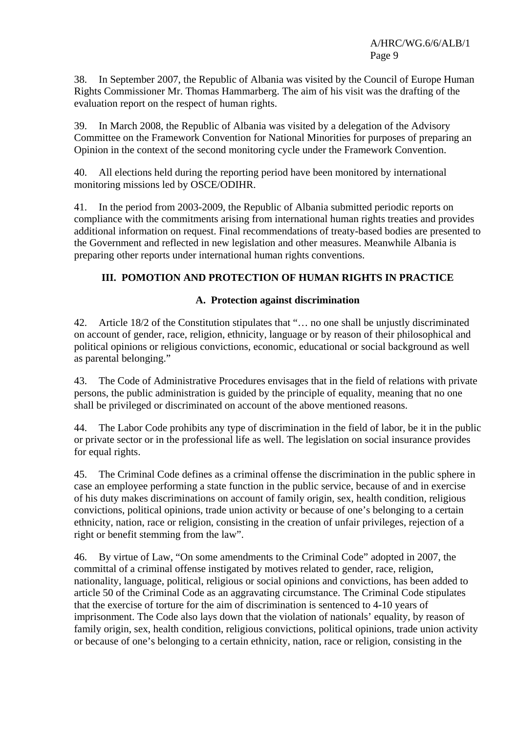38. In September 2007, the Republic of Albania was visited by the Council of Europe Human Rights Commissioner Mr. Thomas Hammarberg. The aim of his visit was the drafting of the evaluation report on the respect of human rights.

39. In March 2008, the Republic of Albania was visited by a delegation of the Advisory Committee on the Framework Convention for National Minorities for purposes of preparing an Opinion in the context of the second monitoring cycle under the Framework Convention.

40. All elections held during the reporting period have been monitored by international monitoring missions led by OSCE/ODIHR.

41. In the period from 2003-2009, the Republic of Albania submitted periodic reports on compliance with the commitments arising from international human rights treaties and provides additional information on request. Final recommendations of treaty-based bodies are presented to the Government and reflected in new legislation and other measures. Meanwhile Albania is preparing other reports under international human rights conventions.

# **III. POMOTION AND PROTECTION OF HUMAN RIGHTS IN PRACTICE**

## **A. Protection against discrimination**

42. Article 18/2 of the Constitution stipulates that "... no one shall be unjustly discriminated on account of gender, race, religion, ethnicity, language or by reason of their philosophical and political opinions or religious convictions, economic, educational or social background as well as parental belonging."

43. The Code of Administrative Procedures envisages that in the field of relations with private persons, the public administration is guided by the principle of equality, meaning that no one shall be privileged or discriminated on account of the above mentioned reasons.

44. The Labor Code prohibits any type of discrimination in the field of labor, be it in the public or private sector or in the professional life as well. The legislation on social insurance provides for equal rights.

45. The Criminal Code defines as a criminal offense the discrimination in the public sphere in case an employee performing a state function in the public service, because of and in exercise of his duty makes discriminations on account of family origin, sex, health condition, religious convictions, political opinions, trade union activity or because of one's belonging to a certain ethnicity, nation, race or religion, consisting in the creation of unfair privileges, rejection of a right or benefit stemming from the law".

46. By virtue of Law, "On some amendments to the Criminal Code" adopted in 2007, the committal of a criminal offense instigated by motives related to gender, race, religion, nationality, language, political, religious or social opinions and convictions, has been added to article 50 of the Criminal Code as an aggravating circumstance. The Criminal Code stipulates that the exercise of torture for the aim of discrimination is sentenced to 4-10 years of imprisonment. The Code also lays down that the violation of nationals' equality, by reason of family origin, sex, health condition, religious convictions, political opinions, trade union activity or because of one's belonging to a certain ethnicity, nation, race or religion, consisting in the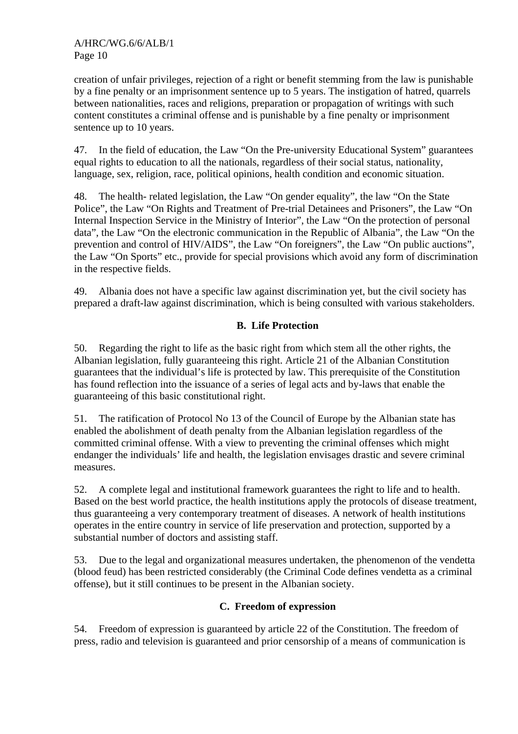creation of unfair privileges, rejection of a right or benefit stemming from the law is punishable by a fine penalty or an imprisonment sentence up to 5 years. The instigation of hatred, quarrels between nationalities, races and religions, preparation or propagation of writings with such content constitutes a criminal offense and is punishable by a fine penalty or imprisonment sentence up to 10 years.

47. In the field of education, the Law "On the Pre-university Educational System" guarantees equal rights to education to all the nationals, regardless of their social status, nationality, language, sex, religion, race, political opinions, health condition and economic situation.

48. The health- related legislation, the Law "On gender equality", the law "On the State Police", the Law "On Rights and Treatment of Pre-trial Detainees and Prisoners", the Law "On Internal Inspection Service in the Ministry of Interior", the Law "On the protection of personal data", the Law "On the electronic communication in the Republic of Albania", the Law "On the prevention and control of HIV/AIDS", the Law "On foreigners", the Law "On public auctions", the Law "On Sports" etc., provide for special provisions which avoid any form of discrimination in the respective fields.

49. Albania does not have a specific law against discrimination yet, but the civil society has prepared a draft-law against discrimination, which is being consulted with various stakeholders.

# **B. Life Protection**

50. Regarding the right to life as the basic right from which stem all the other rights, the Albanian legislation, fully guaranteeing this right. Article 21 of the Albanian Constitution guarantees that the individual's life is protected by law. This prerequisite of the Constitution has found reflection into the issuance of a series of legal acts and by-laws that enable the guaranteeing of this basic constitutional right.

51. The ratification of Protocol No 13 of the Council of Europe by the Albanian state has enabled the abolishment of death penalty from the Albanian legislation regardless of the committed criminal offense. With a view to preventing the criminal offenses which might endanger the individuals' life and health, the legislation envisages drastic and severe criminal measures.

52. A complete legal and institutional framework guarantees the right to life and to health. Based on the best world practice, the health institutions apply the protocols of disease treatment, thus guaranteeing a very contemporary treatment of diseases. A network of health institutions operates in the entire country in service of life preservation and protection, supported by a substantial number of doctors and assisting staff.

53. Due to the legal and organizational measures undertaken, the phenomenon of the vendetta (blood feud) has been restricted considerably (the Criminal Code defines vendetta as a criminal offense), but it still continues to be present in the Albanian society.

## **C. Freedom of expression**

54. Freedom of expression is guaranteed by article 22 of the Constitution. The freedom of press, radio and television is guaranteed and prior censorship of a means of communication is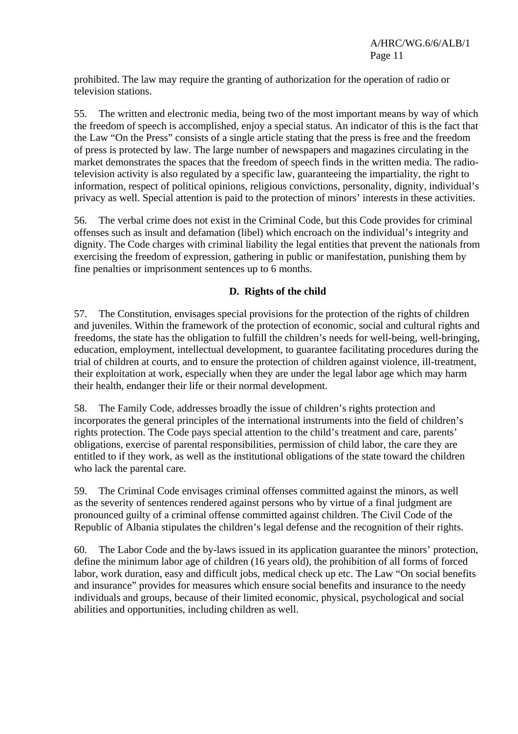prohibited. The law may require the granting of authorization for the operation of radio or television stations.

55. The written and electronic media, being two of the most important means by way of which the freedom of speech is accomplished, enjoy a special status. An indicator of this is the fact that the Law "On the Press" consists of a single article stating that the press is free and the freedom of press is protected by law. The large number of newspapers and magazines circulating in the market demonstrates the spaces that the freedom of speech finds in the written media. The radiotelevision activity is also regulated by a specific law, guaranteeing the impartiality, the right to information, respect of political opinions, religious convictions, personality, dignity, individual's privacy as well. Special attention is paid to the protection of minors' interests in these activities.

56. The verbal crime does not exist in the Criminal Code, but this Code provides for criminal offenses such as insult and defamation (libel) which encroach on the individual's integrity and dignity. The Code charges with criminal liability the legal entities that prevent the nationals from exercising the freedom of expression, gathering in public or manifestation, punishing them by fine penalties or imprisonment sentences up to 6 months.

# **D. Rights of the child**

57. The Constitution, envisages special provisions for the protection of the rights of children and juveniles. Within the framework of the protection of economic, social and cultural rights and freedoms, the state has the obligation to fulfill the children's needs for well-being, well-bringing, education, employment, intellectual development, to guarantee facilitating procedures during the trial of children at courts, and to ensure the protection of children against violence, ill-treatment, their exploitation at work, especially when they are under the legal labor age which may harm their health, endanger their life or their normal development.

58. The Family Code, addresses broadly the issue of children's rights protection and incorporates the general principles of the international instruments into the field of children's rights protection. The Code pays special attention to the child's treatment and care, parents' obligations, exercise of parental responsibilities, permission of child labor, the care they are entitled to if they work, as well as the institutional obligations of the state toward the children who lack the parental care.

59. The Criminal Code envisages criminal offenses committed against the minors, as well as the severity of sentences rendered against persons who by virtue of a final judgment are pronounced guilty of a criminal offense committed against children. The Civil Code of the Republic of Albania stipulates the children's legal defense and the recognition of their rights.

60. The Labor Code and the by-laws issued in its application guarantee the minors' protection, define the minimum labor age of children (16 years old), the prohibition of all forms of forced labor, work duration, easy and difficult jobs, medical check up etc. The Law "On social benefits and insurance" provides for measures which ensure social benefits and insurance to the needy individuals and groups, because of their limited economic, physical, psychological and social abilities and opportunities, including children as well.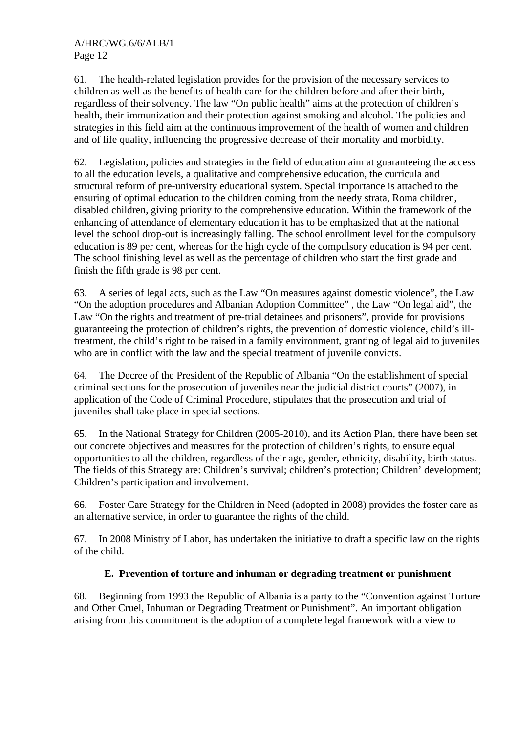61. The health-related legislation provides for the provision of the necessary services to children as well as the benefits of health care for the children before and after their birth, regardless of their solvency. The law "On public health" aims at the protection of children's health, their immunization and their protection against smoking and alcohol. The policies and strategies in this field aim at the continuous improvement of the health of women and children and of life quality, influencing the progressive decrease of their mortality and morbidity.

62. Legislation, policies and strategies in the field of education aim at guaranteeing the access to all the education levels, a qualitative and comprehensive education, the curricula and structural reform of pre-university educational system. Special importance is attached to the ensuring of optimal education to the children coming from the needy strata, Roma children, disabled children, giving priority to the comprehensive education. Within the framework of the enhancing of attendance of elementary education it has to be emphasized that at the national level the school drop-out is increasingly falling. The school enrollment level for the compulsory education is 89 per cent, whereas for the high cycle of the compulsory education is 94 per cent. The school finishing level as well as the percentage of children who start the first grade and finish the fifth grade is 98 per cent.

63. A series of legal acts, such as the Law "On measures against domestic violence", the Law "On the adoption procedures and Albanian Adoption Committee" , the Law "On legal aid", the Law "On the rights and treatment of pre-trial detainees and prisoners", provide for provisions guaranteeing the protection of children's rights, the prevention of domestic violence, child's illtreatment, the child's right to be raised in a family environment, granting of legal aid to juveniles who are in conflict with the law and the special treatment of juvenile convicts.

64. The Decree of the President of the Republic of Albania "On the establishment of special criminal sections for the prosecution of juveniles near the judicial district courts" (2007), in application of the Code of Criminal Procedure, stipulates that the prosecution and trial of juveniles shall take place in special sections.

65. In the National Strategy for Children (2005-2010), and its Action Plan, there have been set out concrete objectives and measures for the protection of children's rights, to ensure equal opportunities to all the children, regardless of their age, gender, ethnicity, disability, birth status. The fields of this Strategy are: Children's survival; children's protection; Children' development; Children's participation and involvement.

66. Foster Care Strategy for the Children in Need (adopted in 2008) provides the foster care as an alternative service, in order to guarantee the rights of the child.

67. In 2008 Ministry of Labor, has undertaken the initiative to draft a specific law on the rights of the child.

# **E. Prevention of torture and inhuman or degrading treatment or punishment**

68. Beginning from 1993 the Republic of Albania is a party to the "Convention against Torture and Other Cruel, Inhuman or Degrading Treatment or Punishment". An important obligation arising from this commitment is the adoption of a complete legal framework with a view to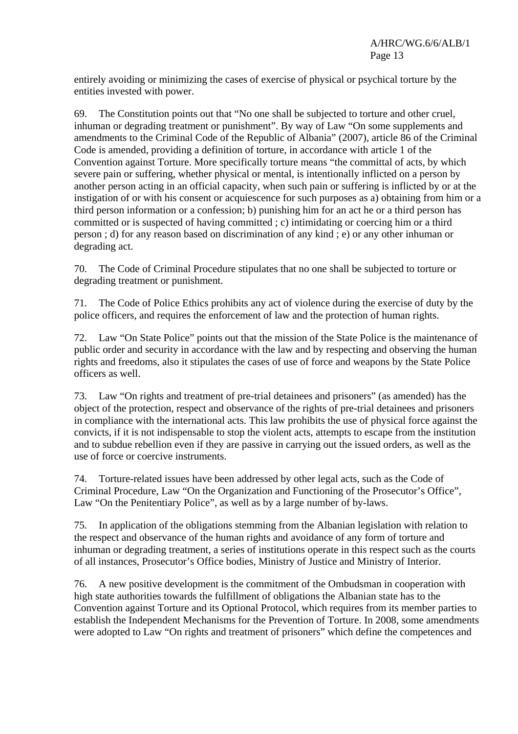entirely avoiding or minimizing the cases of exercise of physical or psychical torture by the entities invested with power.

69. The Constitution points out that "No one shall be subjected to torture and other cruel, inhuman or degrading treatment or punishment". By way of Law "On some supplements and amendments to the Criminal Code of the Republic of Albania" (2007), article 86 of the Criminal Code is amended, providing a definition of torture, in accordance with article 1 of the Convention against Torture. More specifically torture means "the committal of acts, by which severe pain or suffering, whether physical or mental, is intentionally inflicted on a person by another person acting in an official capacity, when such pain or suffering is inflicted by or at the instigation of or with his consent or acquiescence for such purposes as a) obtaining from him or a third person information or a confession; b) punishing him for an act he or a third person has committed or is suspected of having committed ; c) intimidating or coercing him or a third person ; d) for any reason based on discrimination of any kind ; e) or any other inhuman or degrading act.

70. The Code of Criminal Procedure stipulates that no one shall be subjected to torture or degrading treatment or punishment.

71. The Code of Police Ethics prohibits any act of violence during the exercise of duty by the police officers, and requires the enforcement of law and the protection of human rights.

72. Law "On State Police" points out that the mission of the State Police is the maintenance of public order and security in accordance with the law and by respecting and observing the human rights and freedoms, also it stipulates the cases of use of force and weapons by the State Police officers as well.

73. Law "On rights and treatment of pre-trial detainees and prisoners" (as amended) has the object of the protection, respect and observance of the rights of pre-trial detainees and prisoners in compliance with the international acts. This law prohibits the use of physical force against the convicts, if it is not indispensable to stop the violent acts, attempts to escape from the institution and to subdue rebellion even if they are passive in carrying out the issued orders, as well as the use of force or coercive instruments.

74. Torture-related issues have been addressed by other legal acts, such as the Code of Criminal Procedure, Law "On the Organization and Functioning of the Prosecutor's Office", Law "On the Penitentiary Police", as well as by a large number of by-laws.

75. In application of the obligations stemming from the Albanian legislation with relation to the respect and observance of the human rights and avoidance of any form of torture and inhuman or degrading treatment, a series of institutions operate in this respect such as the courts of all instances, Prosecutor's Office bodies, Ministry of Justice and Ministry of Interior.

76. A new positive development is the commitment of the Ombudsman in cooperation with high state authorities towards the fulfillment of obligations the Albanian state has to the Convention against Torture and its Optional Protocol, which requires from its member parties to establish the Independent Mechanisms for the Prevention of Torture. In 2008, some amendments were adopted to Law "On rights and treatment of prisoners" which define the competences and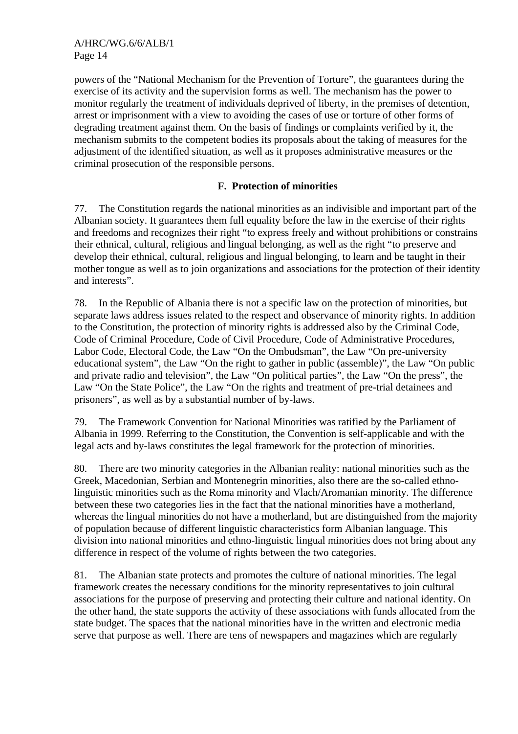powers of the "National Mechanism for the Prevention of Torture", the guarantees during the exercise of its activity and the supervision forms as well. The mechanism has the power to monitor regularly the treatment of individuals deprived of liberty, in the premises of detention, arrest or imprisonment with a view to avoiding the cases of use or torture of other forms of degrading treatment against them. On the basis of findings or complaints verified by it, the mechanism submits to the competent bodies its proposals about the taking of measures for the adjustment of the identified situation, as well as it proposes administrative measures or the criminal prosecution of the responsible persons.

## **F. Protection of minorities**

77. The Constitution regards the national minorities as an indivisible and important part of the Albanian society. It guarantees them full equality before the law in the exercise of their rights and freedoms and recognizes their right "to express freely and without prohibitions or constrains their ethnical, cultural, religious and lingual belonging, as well as the right "to preserve and develop their ethnical, cultural, religious and lingual belonging, to learn and be taught in their mother tongue as well as to join organizations and associations for the protection of their identity and interests".

78. In the Republic of Albania there is not a specific law on the protection of minorities, but separate laws address issues related to the respect and observance of minority rights. In addition to the Constitution, the protection of minority rights is addressed also by the Criminal Code, Code of Criminal Procedure, Code of Civil Procedure, Code of Administrative Procedures, Labor Code, Electoral Code, the Law "On the Ombudsman", the Law "On pre-university educational system", the Law "On the right to gather in public (assemble)", the Law "On public and private radio and television", the Law "On political parties", the Law "On the press", the Law "On the State Police", the Law "On the rights and treatment of pre-trial detainees and prisoners", as well as by a substantial number of by-laws.

79. The Framework Convention for National Minorities was ratified by the Parliament of Albania in 1999. Referring to the Constitution, the Convention is self-applicable and with the legal acts and by-laws constitutes the legal framework for the protection of minorities.

80. There are two minority categories in the Albanian reality: national minorities such as the Greek, Macedonian, Serbian and Montenegrin minorities, also there are the so-called ethnolinguistic minorities such as the Roma minority and Vlach/Aromanian minority. The difference between these two categories lies in the fact that the national minorities have a motherland, whereas the lingual minorities do not have a motherland, but are distinguished from the majority of population because of different linguistic characteristics form Albanian language. This division into national minorities and ethno-linguistic lingual minorities does not bring about any difference in respect of the volume of rights between the two categories.

81. The Albanian state protects and promotes the culture of national minorities. The legal framework creates the necessary conditions for the minority representatives to join cultural associations for the purpose of preserving and protecting their culture and national identity. On the other hand, the state supports the activity of these associations with funds allocated from the state budget. The spaces that the national minorities have in the written and electronic media serve that purpose as well. There are tens of newspapers and magazines which are regularly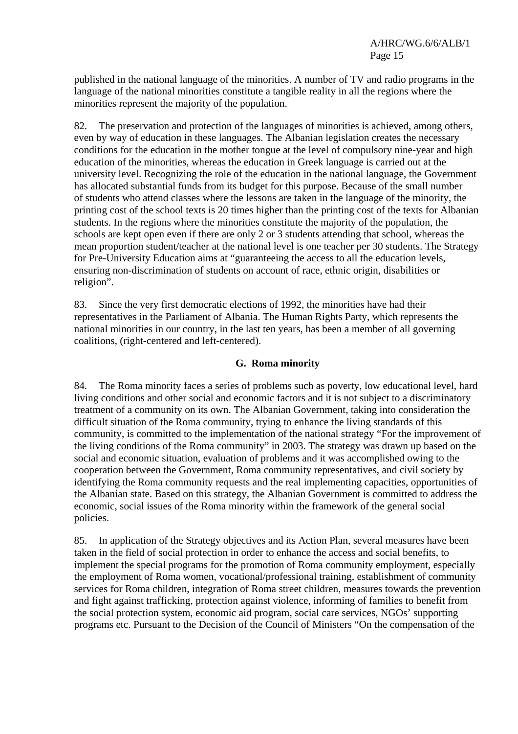published in the national language of the minorities. A number of TV and radio programs in the language of the national minorities constitute a tangible reality in all the regions where the minorities represent the majority of the population.

82. The preservation and protection of the languages of minorities is achieved, among others, even by way of education in these languages. The Albanian legislation creates the necessary conditions for the education in the mother tongue at the level of compulsory nine-year and high education of the minorities, whereas the education in Greek language is carried out at the university level. Recognizing the role of the education in the national language, the Government has allocated substantial funds from its budget for this purpose. Because of the small number of students who attend classes where the lessons are taken in the language of the minority, the printing cost of the school texts is 20 times higher than the printing cost of the texts for Albanian students. In the regions where the minorities constitute the majority of the population, the schools are kept open even if there are only 2 or 3 students attending that school, whereas the mean proportion student/teacher at the national level is one teacher per 30 students. The Strategy for Pre-University Education aims at "guaranteeing the access to all the education levels, ensuring non-discrimination of students on account of race, ethnic origin, disabilities or religion".

83. Since the very first democratic elections of 1992, the minorities have had their representatives in the Parliament of Albania. The Human Rights Party, which represents the national minorities in our country, in the last ten years, has been a member of all governing coalitions, (right-centered and left-centered).

#### **G. Roma minority**

84. The Roma minority faces a series of problems such as poverty, low educational level, hard living conditions and other social and economic factors and it is not subject to a discriminatory treatment of a community on its own. The Albanian Government, taking into consideration the difficult situation of the Roma community, trying to enhance the living standards of this community, is committed to the implementation of the national strategy "For the improvement of the living conditions of the Roma community" in 2003. The strategy was drawn up based on the social and economic situation, evaluation of problems and it was accomplished owing to the cooperation between the Government, Roma community representatives, and civil society by identifying the Roma community requests and the real implementing capacities, opportunities of the Albanian state. Based on this strategy, the Albanian Government is committed to address the economic, social issues of the Roma minority within the framework of the general social policies.

85. In application of the Strategy objectives and its Action Plan, several measures have been taken in the field of social protection in order to enhance the access and social benefits, to implement the special programs for the promotion of Roma community employment, especially the employment of Roma women, vocational/professional training, establishment of community services for Roma children, integration of Roma street children, measures towards the prevention and fight against trafficking, protection against violence, informing of families to benefit from the social protection system, economic aid program, social care services, NGOs' supporting programs etc. Pursuant to the Decision of the Council of Ministers "On the compensation of the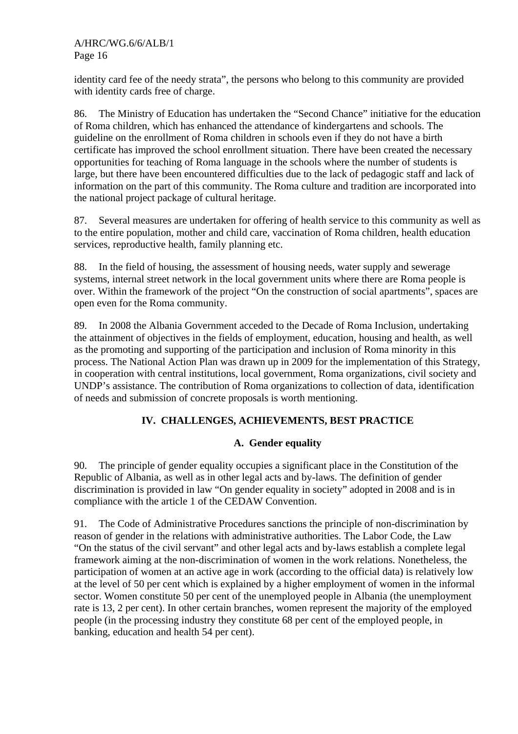identity card fee of the needy strata", the persons who belong to this community are provided with identity cards free of charge.

86. The Ministry of Education has undertaken the "Second Chance" initiative for the education of Roma children, which has enhanced the attendance of kindergartens and schools. The guideline on the enrollment of Roma children in schools even if they do not have a birth certificate has improved the school enrollment situation. There have been created the necessary opportunities for teaching of Roma language in the schools where the number of students is large, but there have been encountered difficulties due to the lack of pedagogic staff and lack of information on the part of this community. The Roma culture and tradition are incorporated into the national project package of cultural heritage.

87. Several measures are undertaken for offering of health service to this community as well as to the entire population, mother and child care, vaccination of Roma children, health education services, reproductive health, family planning etc.

88. In the field of housing, the assessment of housing needs, water supply and sewerage systems, internal street network in the local government units where there are Roma people is over. Within the framework of the project "On the construction of social apartments", spaces are open even for the Roma community.

89. In 2008 the Albania Government acceded to the Decade of Roma Inclusion, undertaking the attainment of objectives in the fields of employment, education, housing and health, as well as the promoting and supporting of the participation and inclusion of Roma minority in this process. The National Action Plan was drawn up in 2009 for the implementation of this Strategy, in cooperation with central institutions, local government, Roma organizations, civil society and UNDP's assistance. The contribution of Roma organizations to collection of data, identification of needs and submission of concrete proposals is worth mentioning.

# **IV. CHALLENGES, ACHIEVEMENTS, BEST PRACTICE**

# **A. Gender equality**

90. The principle of gender equality occupies a significant place in the Constitution of the Republic of Albania, as well as in other legal acts and by-laws. The definition of gender discrimination is provided in law "On gender equality in society" adopted in 2008 and is in compliance with the article 1 of the CEDAW Convention.

91. The Code of Administrative Procedures sanctions the principle of non-discrimination by reason of gender in the relations with administrative authorities. The Labor Code, the Law "On the status of the civil servant" and other legal acts and by-laws establish a complete legal framework aiming at the non-discrimination of women in the work relations. Nonetheless, the participation of women at an active age in work (according to the official data) is relatively low at the level of 50 per cent which is explained by a higher employment of women in the informal sector. Women constitute 50 per cent of the unemployed people in Albania (the unemployment rate is 13, 2 per cent). In other certain branches, women represent the majority of the employed people (in the processing industry they constitute 68 per cent of the employed people, in banking, education and health 54 per cent).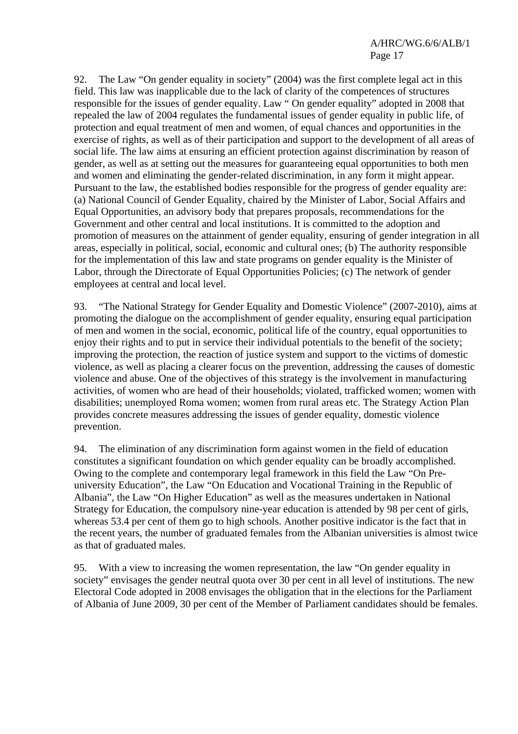92. The Law "On gender equality in society" (2004) was the first complete legal act in this field. This law was inapplicable due to the lack of clarity of the competences of structures responsible for the issues of gender equality. Law " On gender equality" adopted in 2008 that repealed the law of 2004 regulates the fundamental issues of gender equality in public life, of protection and equal treatment of men and women, of equal chances and opportunities in the exercise of rights, as well as of their participation and support to the development of all areas of social life. The law aims at ensuring an efficient protection against discrimination by reason of gender, as well as at setting out the measures for guaranteeing equal opportunities to both men and women and eliminating the gender-related discrimination, in any form it might appear. Pursuant to the law, the established bodies responsible for the progress of gender equality are: (a) National Council of Gender Equality, chaired by the Minister of Labor, Social Affairs and Equal Opportunities, an advisory body that prepares proposals, recommendations for the Government and other central and local institutions. It is committed to the adoption and promotion of measures on the attainment of gender equality, ensuring of gender integration in all areas, especially in political, social, economic and cultural ones; (b) The authority responsible for the implementation of this law and state programs on gender equality is the Minister of Labor, through the Directorate of Equal Opportunities Policies; (c) The network of gender employees at central and local level.

93. "The National Strategy for Gender Equality and Domestic Violence" (2007-2010), aims at promoting the dialogue on the accomplishment of gender equality, ensuring equal participation of men and women in the social, economic, political life of the country, equal opportunities to enjoy their rights and to put in service their individual potentials to the benefit of the society; improving the protection, the reaction of justice system and support to the victims of domestic violence, as well as placing a clearer focus on the prevention, addressing the causes of domestic violence and abuse. One of the objectives of this strategy is the involvement in manufacturing activities, of women who are head of their households; violated, trafficked women; women with disabilities; unemployed Roma women; women from rural areas etc. The Strategy Action Plan provides concrete measures addressing the issues of gender equality, domestic violence prevention.

94. The elimination of any discrimination form against women in the field of education constitutes a significant foundation on which gender equality can be broadly accomplished. Owing to the complete and contemporary legal framework in this field the Law "On Preuniversity Education", the Law "On Education and Vocational Training in the Republic of Albania", the Law "On Higher Education" as well as the measures undertaken in National Strategy for Education, the compulsory nine-year education is attended by 98 per cent of girls, whereas 53.4 per cent of them go to high schools. Another positive indicator is the fact that in the recent years, the number of graduated females from the Albanian universities is almost twice as that of graduated males.

95. With a view to increasing the women representation, the law "On gender equality in society" envisages the gender neutral quota over 30 per cent in all level of institutions. The new Electoral Code adopted in 2008 envisages the obligation that in the elections for the Parliament of Albania of June 2009, 30 per cent of the Member of Parliament candidates should be females.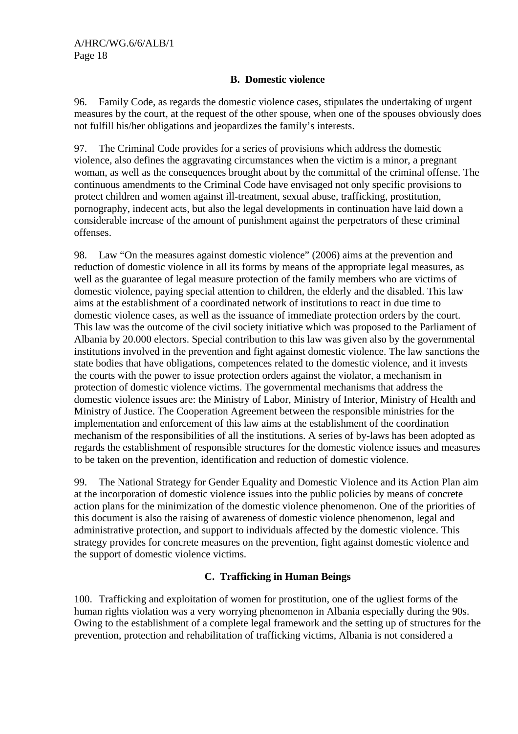## **B. Domestic violence**

96. Family Code, as regards the domestic violence cases, stipulates the undertaking of urgent measures by the court, at the request of the other spouse, when one of the spouses obviously does not fulfill his/her obligations and jeopardizes the family's interests.

97. The Criminal Code provides for a series of provisions which address the domestic violence, also defines the aggravating circumstances when the victim is a minor, a pregnant woman, as well as the consequences brought about by the committal of the criminal offense. The continuous amendments to the Criminal Code have envisaged not only specific provisions to protect children and women against ill-treatment, sexual abuse, trafficking, prostitution, pornography, indecent acts, but also the legal developments in continuation have laid down a considerable increase of the amount of punishment against the perpetrators of these criminal offenses.

98. Law "On the measures against domestic violence" (2006) aims at the prevention and reduction of domestic violence in all its forms by means of the appropriate legal measures, as well as the guarantee of legal measure protection of the family members who are victims of domestic violence, paying special attention to children, the elderly and the disabled. This law aims at the establishment of a coordinated network of institutions to react in due time to domestic violence cases, as well as the issuance of immediate protection orders by the court. This law was the outcome of the civil society initiative which was proposed to the Parliament of Albania by 20.000 electors. Special contribution to this law was given also by the governmental institutions involved in the prevention and fight against domestic violence. The law sanctions the state bodies that have obligations, competences related to the domestic violence, and it invests the courts with the power to issue protection orders against the violator, a mechanism in protection of domestic violence victims. The governmental mechanisms that address the domestic violence issues are: the Ministry of Labor, Ministry of Interior, Ministry of Health and Ministry of Justice. The Cooperation Agreement between the responsible ministries for the implementation and enforcement of this law aims at the establishment of the coordination mechanism of the responsibilities of all the institutions. A series of by-laws has been adopted as regards the establishment of responsible structures for the domestic violence issues and measures to be taken on the prevention, identification and reduction of domestic violence.

99. The National Strategy for Gender Equality and Domestic Violence and its Action Plan aim at the incorporation of domestic violence issues into the public policies by means of concrete action plans for the minimization of the domestic violence phenomenon. One of the priorities of this document is also the raising of awareness of domestic violence phenomenon, legal and administrative protection, and support to individuals affected by the domestic violence. This strategy provides for concrete measures on the prevention, fight against domestic violence and the support of domestic violence victims.

## **C. Trafficking in Human Beings**

100. Trafficking and exploitation of women for prostitution, one of the ugliest forms of the human rights violation was a very worrying phenomenon in Albania especially during the 90s. Owing to the establishment of a complete legal framework and the setting up of structures for the prevention, protection and rehabilitation of trafficking victims, Albania is not considered a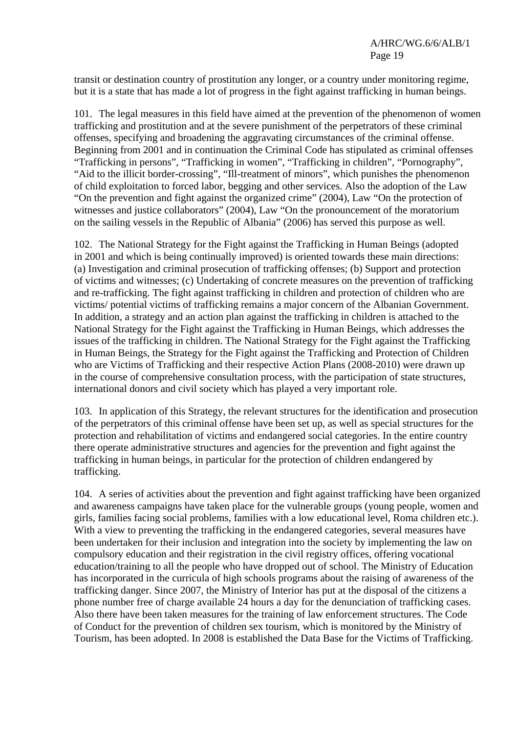transit or destination country of prostitution any longer, or a country under monitoring regime, but it is a state that has made a lot of progress in the fight against trafficking in human beings.

101. The legal measures in this field have aimed at the prevention of the phenomenon of women trafficking and prostitution and at the severe punishment of the perpetrators of these criminal offenses, specifying and broadening the aggravating circumstances of the criminal offense. Beginning from 2001 and in continuation the Criminal Code has stipulated as criminal offenses "Trafficking in persons", "Trafficking in women", "Trafficking in children", "Pornography", "Aid to the illicit border-crossing", "Ill-treatment of minors", which punishes the phenomenon of child exploitation to forced labor, begging and other services. Also the adoption of the Law "On the prevention and fight against the organized crime" (2004), Law "On the protection of witnesses and justice collaborators" (2004), Law "On the pronouncement of the moratorium on the sailing vessels in the Republic of Albania" (2006) has served this purpose as well.

102. The National Strategy for the Fight against the Trafficking in Human Beings (adopted in 2001 and which is being continually improved) is oriented towards these main directions: (a) Investigation and criminal prosecution of trafficking offenses; (b) Support and protection of victims and witnesses; (c) Undertaking of concrete measures on the prevention of trafficking and re-trafficking. The fight against trafficking in children and protection of children who are victims/ potential victims of trafficking remains a major concern of the Albanian Government. In addition, a strategy and an action plan against the trafficking in children is attached to the National Strategy for the Fight against the Trafficking in Human Beings, which addresses the issues of the trafficking in children. The National Strategy for the Fight against the Trafficking in Human Beings, the Strategy for the Fight against the Trafficking and Protection of Children who are Victims of Trafficking and their respective Action Plans (2008-2010) were drawn up in the course of comprehensive consultation process, with the participation of state structures, international donors and civil society which has played a very important role.

103. In application of this Strategy, the relevant structures for the identification and prosecution of the perpetrators of this criminal offense have been set up, as well as special structures for the protection and rehabilitation of victims and endangered social categories. In the entire country there operate administrative structures and agencies for the prevention and fight against the trafficking in human beings, in particular for the protection of children endangered by trafficking.

104. A series of activities about the prevention and fight against trafficking have been organized and awareness campaigns have taken place for the vulnerable groups (young people, women and girls, families facing social problems, families with a low educational level, Roma children etc.). With a view to preventing the trafficking in the endangered categories, several measures have been undertaken for their inclusion and integration into the society by implementing the law on compulsory education and their registration in the civil registry offices, offering vocational education/training to all the people who have dropped out of school. The Ministry of Education has incorporated in the curricula of high schools programs about the raising of awareness of the trafficking danger. Since 2007, the Ministry of Interior has put at the disposal of the citizens a phone number free of charge available 24 hours a day for the denunciation of trafficking cases. Also there have been taken measures for the training of law enforcement structures. The Code of Conduct for the prevention of children sex tourism, which is monitored by the Ministry of Tourism, has been adopted. In 2008 is established the Data Base for the Victims of Trafficking.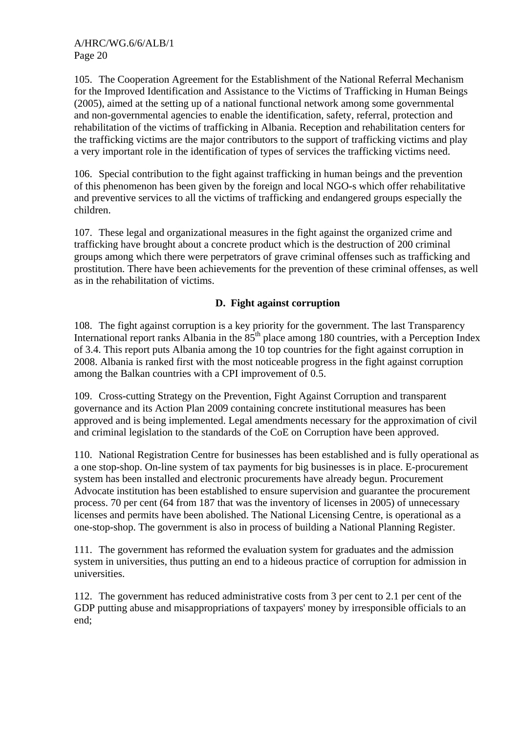105. The Cooperation Agreement for the Establishment of the National Referral Mechanism for the Improved Identification and Assistance to the Victims of Trafficking in Human Beings (2005), aimed at the setting up of a national functional network among some governmental and non-governmental agencies to enable the identification, safety, referral, protection and rehabilitation of the victims of trafficking in Albania. Reception and rehabilitation centers for the trafficking victims are the major contributors to the support of trafficking victims and play a very important role in the identification of types of services the trafficking victims need.

106. Special contribution to the fight against trafficking in human beings and the prevention of this phenomenon has been given by the foreign and local NGO-s which offer rehabilitative and preventive services to all the victims of trafficking and endangered groups especially the children.

107. These legal and organizational measures in the fight against the organized crime and trafficking have brought about a concrete product which is the destruction of 200 criminal groups among which there were perpetrators of grave criminal offenses such as trafficking and prostitution. There have been achievements for the prevention of these criminal offenses, as well as in the rehabilitation of victims.

# **D. Fight against corruption**

108. The fight against corruption is a key priority for the government. The last Transparency International report ranks Albania in the 85<sup>th</sup> place among 180 countries, with a Perception Index of 3.4. This report puts Albania among the  $10$  top countries for the fight against corruption in 2008. Albania is ranked first with the most noticeable progress in the fight against corruption among the Balkan countries with a CPI improvement of 0.5.

109. Cross-cutting Strategy on the Prevention, Fight Against Corruption and transparent governance and its Action Plan 2009 containing concrete institutional measures has been approved and is being implemented. Legal amendments necessary for the approximation of civil and criminal legislation to the standards of the CoE on Corruption have been approved.

110. National Registration Centre for businesses has been established and is fully operational as a one stop-shop. On-line system of tax payments for big businesses is in place. E-procurement system has been installed and electronic procurements have already begun. Procurement Advocate institution has been established to ensure supervision and guarantee the procurement process. 70 per cent (64 from 187 that was the inventory of licenses in 2005) of unnecessary licenses and permits have been abolished. The National Licensing Centre, is operational as a one-stop-shop. The government is also in process of building a National Planning Register.

111. The government has reformed the evaluation system for graduates and the admission system in universities, thus putting an end to a hideous practice of corruption for admission in universities.

112. The government has reduced administrative costs from 3 per cent to 2.1 per cent of the GDP putting abuse and misappropriations of taxpayers' money by irresponsible officials to an end;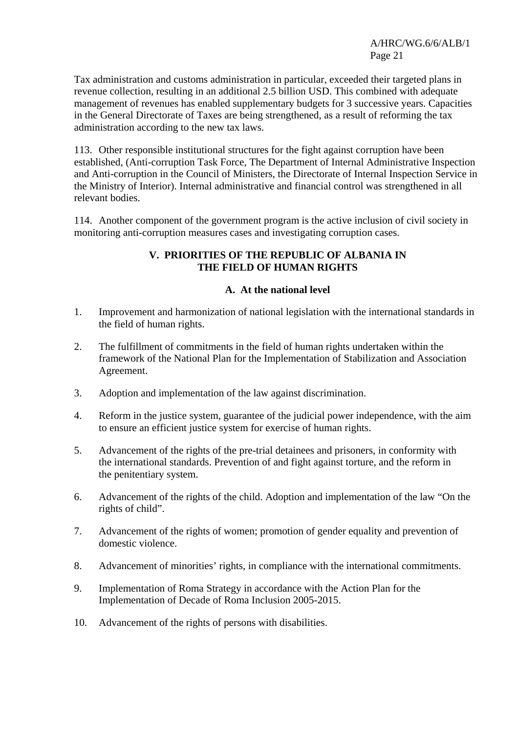Tax administration and customs administration in particular, exceeded their targeted plans in revenue collection, resulting in an additional 2.5 billion USD. This combined with adequate management of revenues has enabled supplementary budgets for 3 successive years. Capacities in the General Directorate of Taxes are being strengthened, as a result of reforming the tax administration according to the new tax laws.

113. Other responsible institutional structures for the fight against corruption have been established, (Anti-corruption Task Force, The Department of Internal Administrative Inspection and Anti-corruption in the Council of Ministers, the Directorate of Internal Inspection Service in the Ministry of Interior). Internal administrative and financial control was strengthened in all relevant bodies.

114. Another component of the government program is the active inclusion of civil society in monitoring anti-corruption measures cases and investigating corruption cases.

## **V. PRIORITIES OF THE REPUBLIC OF ALBANIA IN THE FIELD OF HUMAN RIGHTS**

## **A. At the national level**

- 1. Improvement and harmonization of national legislation with the international standards in the field of human rights.
- 2. The fulfillment of commitments in the field of human rights undertaken within the framework of the National Plan for the Implementation of Stabilization and Association Agreement.
- 3. Adoption and implementation of the law against discrimination.
- 4. Reform in the justice system, guarantee of the judicial power independence, with the aim to ensure an efficient justice system for exercise of human rights.
- 5. Advancement of the rights of the pre-trial detainees and prisoners, in conformity with the international standards. Prevention of and fight against torture, and the reform in the penitentiary system.
- 6. Advancement of the rights of the child. Adoption and implementation of the law "On the rights of child".
- 7. Advancement of the rights of women; promotion of gender equality and prevention of domestic violence.
- 8. Advancement of minorities' rights, in compliance with the international commitments.
- 9. Implementation of Roma Strategy in accordance with the Action Plan for the Implementation of Decade of Roma Inclusion 2005-2015.
- 10. Advancement of the rights of persons with disabilities.